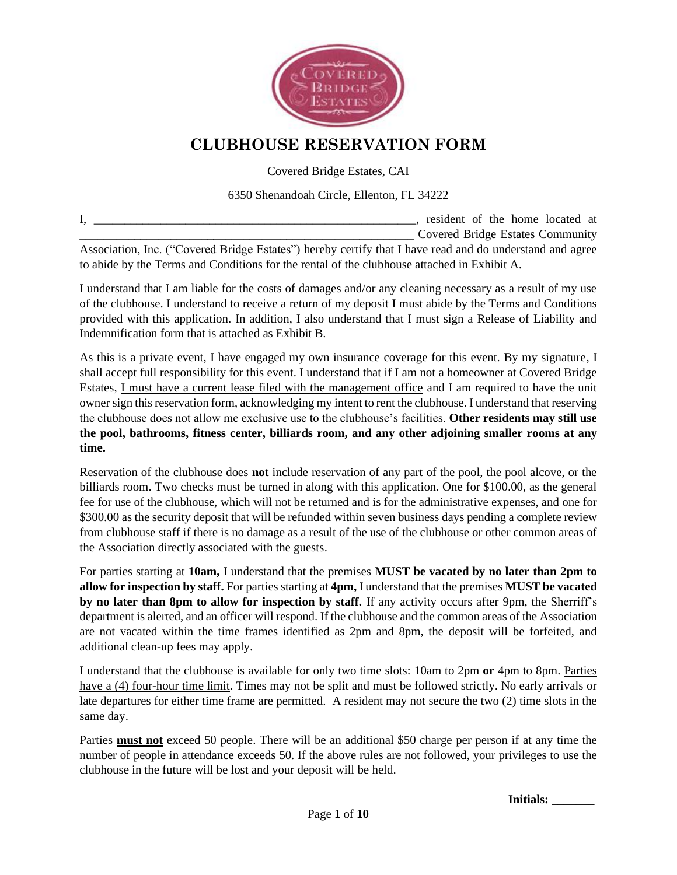

## **CLUBHOUSE RESERVATION FORM**

Covered Bridge Estates, CAI

#### 6350 Shenandoah Circle, Ellenton, FL 34222

I, \_\_\_\_\_\_\_\_\_\_\_\_\_\_\_\_\_\_\_\_\_\_\_\_\_\_\_\_\_\_\_\_\_\_\_\_\_\_\_\_\_\_\_\_\_\_\_\_\_\_\_\_\_, resident of the home located at \_\_\_\_\_\_\_\_\_\_\_\_\_\_\_\_\_\_\_\_\_\_\_\_\_\_\_\_\_\_\_\_\_\_\_\_\_\_\_\_\_\_\_\_\_\_\_\_\_\_\_\_\_\_\_ Covered Bridge Estates Community Association, Inc. ("Covered Bridge Estates") hereby certify that I have read and do understand and agree to abide by the Terms and Conditions for the rental of the clubhouse attached in Exhibit A.

I understand that I am liable for the costs of damages and/or any cleaning necessary as a result of my use of the clubhouse. I understand to receive a return of my deposit I must abide by the Terms and Conditions provided with this application. In addition, I also understand that I must sign a Release of Liability and Indemnification form that is attached as Exhibit B.

As this is a private event, I have engaged my own insurance coverage for this event. By my signature, I shall accept full responsibility for this event. I understand that if I am not a homeowner at Covered Bridge Estates, I must have a current lease filed with the management office and I am required to have the unit owner sign this reservation form, acknowledging my intent to rent the clubhouse. I understand that reserving the clubhouse does not allow me exclusive use to the clubhouse's facilities. **Other residents may still use the pool, bathrooms, fitness center, billiards room, and any other adjoining smaller rooms at any time.** 

Reservation of the clubhouse does **not** include reservation of any part of the pool, the pool alcove, or the billiards room. Two checks must be turned in along with this application. One for \$100.00, as the general fee for use of the clubhouse, which will not be returned and is for the administrative expenses, and one for \$300.00 as the security deposit that will be refunded within seven business days pending a complete review from clubhouse staff if there is no damage as a result of the use of the clubhouse or other common areas of the Association directly associated with the guests.

For parties starting at **10am,** I understand that the premises **MUST be vacated by no later than 2pm to allow for inspection by staff.** For parties starting at **4pm,** I understand that the premises **MUST be vacated by no later than 8pm to allow for inspection by staff.** If any activity occurs after 9pm, the Sherriff's department is alerted, and an officer will respond. If the clubhouse and the common areas of the Association are not vacated within the time frames identified as 2pm and 8pm, the deposit will be forfeited, and additional clean-up fees may apply.

I understand that the clubhouse is available for only two time slots: 10am to 2pm **or** 4pm to 8pm. Parties have a (4) four-hour time limit. Times may not be split and must be followed strictly. No early arrivals or late departures for either time frame are permitted. A resident may not secure the two (2) time slots in the same day.

Parties **must not** exceed 50 people. There will be an additional \$50 charge per person if at any time the number of people in attendance exceeds 50. If the above rules are not followed, your privileges to use the clubhouse in the future will be lost and your deposit will be held.

**Initials: \_\_\_\_\_\_\_**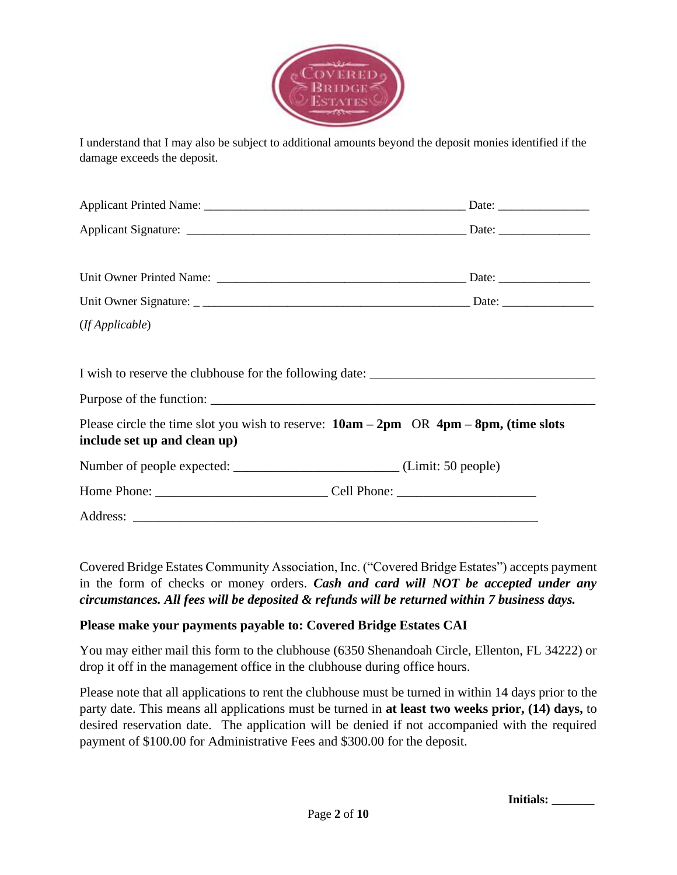

I understand that I may also be subject to additional amounts beyond the deposit monies identified if the damage exceeds the deposit.

| (If Applicable)                                                                                                              |  |
|------------------------------------------------------------------------------------------------------------------------------|--|
|                                                                                                                              |  |
|                                                                                                                              |  |
|                                                                                                                              |  |
| Please circle the time slot you wish to reserve: $10am - 2pm \ OR \ 4pm - 8pm$ , (time slots<br>include set up and clean up) |  |
| Number of people expected: _______________________________(Limit: 50 people)                                                 |  |
|                                                                                                                              |  |
|                                                                                                                              |  |

Covered Bridge Estates Community Association, Inc. ("Covered Bridge Estates") accepts payment in the form of checks or money orders. *Cash and card will NOT be accepted under any circumstances. All fees will be deposited & refunds will be returned within 7 business days.*

#### **Please make your payments payable to: Covered Bridge Estates CAI**

You may either mail this form to the clubhouse (6350 Shenandoah Circle, Ellenton, FL 34222) or drop it off in the management office in the clubhouse during office hours.

Please note that all applications to rent the clubhouse must be turned in within 14 days prior to the party date. This means all applications must be turned in **at least two weeks prior, (14) days,** to desired reservation date. The application will be denied if not accompanied with the required payment of \$100.00 for Administrative Fees and \$300.00 for the deposit.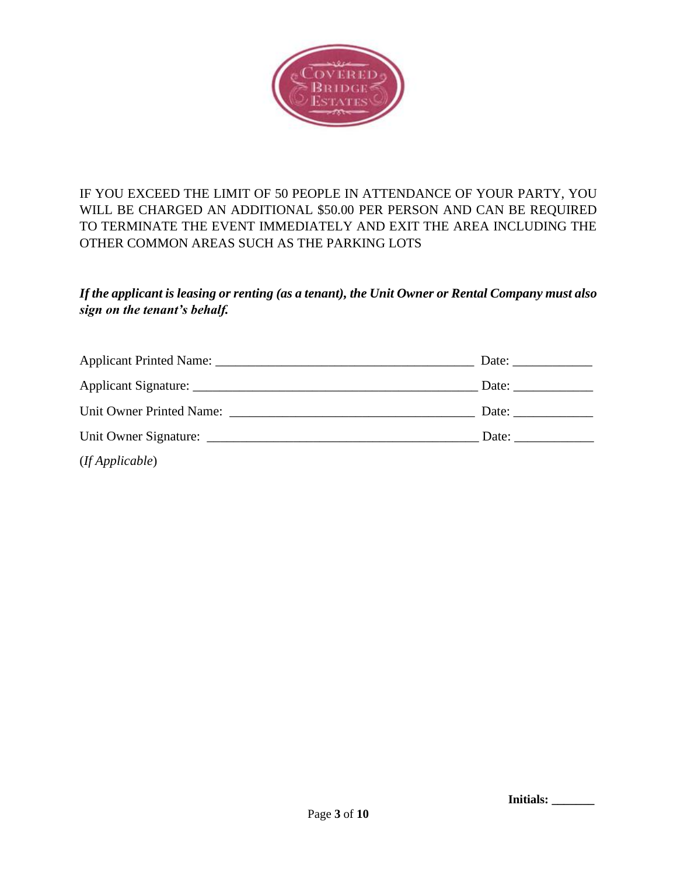

IF YOU EXCEED THE LIMIT OF 50 PEOPLE IN ATTENDANCE OF YOUR PARTY, YOU WILL BE CHARGED AN ADDITIONAL \$50.00 PER PERSON AND CAN BE REQUIRED TO TERMINATE THE EVENT IMMEDIATELY AND EXIT THE AREA INCLUDING THE OTHER COMMON AREAS SUCH AS THE PARKING LOTS

#### *If the applicant is leasing or renting (as a tenant), the Unit Owner or Rental Company must also sign on the tenant's behalf.*

| (If Applicable) |  |
|-----------------|--|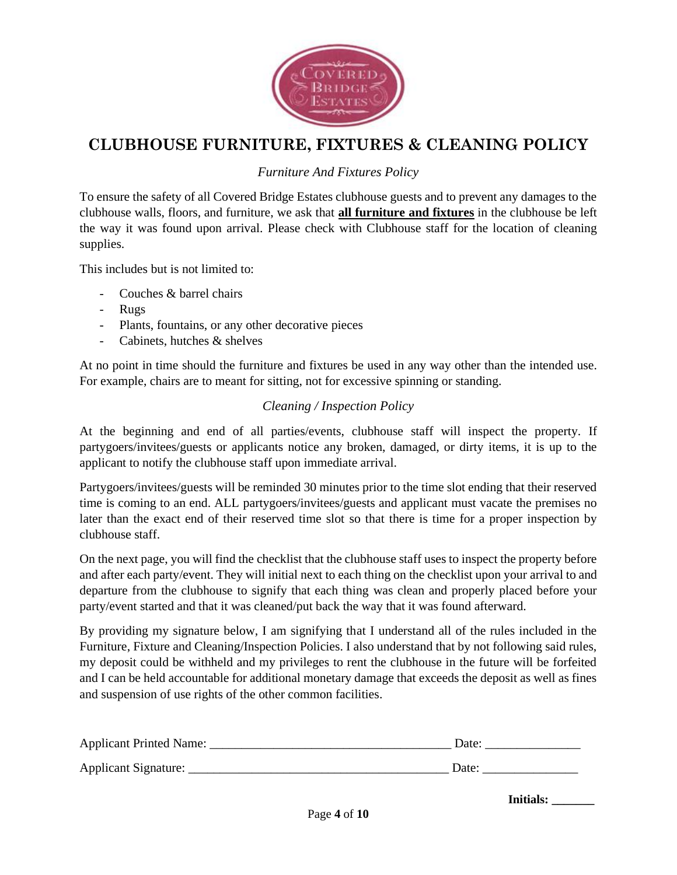

# **CLUBHOUSE FURNITURE, FIXTURES & CLEANING POLICY**

*Furniture And Fixtures Policy*

To ensure the safety of all Covered Bridge Estates clubhouse guests and to prevent any damages to the clubhouse walls, floors, and furniture, we ask that **all furniture and fixtures** in the clubhouse be left the way it was found upon arrival. Please check with Clubhouse staff for the location of cleaning supplies.

This includes but is not limited to:

- Couches & barrel chairs
- Rugs
- Plants, fountains, or any other decorative pieces
- Cabinets, hutches & shelves

At no point in time should the furniture and fixtures be used in any way other than the intended use. For example, chairs are to meant for sitting, not for excessive spinning or standing.

#### *Cleaning / Inspection Policy*

At the beginning and end of all parties/events, clubhouse staff will inspect the property. If partygoers/invitees/guests or applicants notice any broken, damaged, or dirty items, it is up to the applicant to notify the clubhouse staff upon immediate arrival.

Partygoers/invitees/guests will be reminded 30 minutes prior to the time slot ending that their reserved time is coming to an end. ALL partygoers/invitees/guests and applicant must vacate the premises no later than the exact end of their reserved time slot so that there is time for a proper inspection by clubhouse staff.

On the next page, you will find the checklist that the clubhouse staff uses to inspect the property before and after each party/event. They will initial next to each thing on the checklist upon your arrival to and departure from the clubhouse to signify that each thing was clean and properly placed before your party/event started and that it was cleaned/put back the way that it was found afterward.

By providing my signature below, I am signifying that I understand all of the rules included in the Furniture, Fixture and Cleaning/Inspection Policies. I also understand that by not following said rules, my deposit could be withheld and my privileges to rent the clubhouse in the future will be forfeited and I can be held accountable for additional monetary damage that exceeds the deposit as well as fines and suspension of use rights of the other common facilities.

| Applicant Printed Name: | Date: |
|-------------------------|-------|
| Applicant Signature:    | Date: |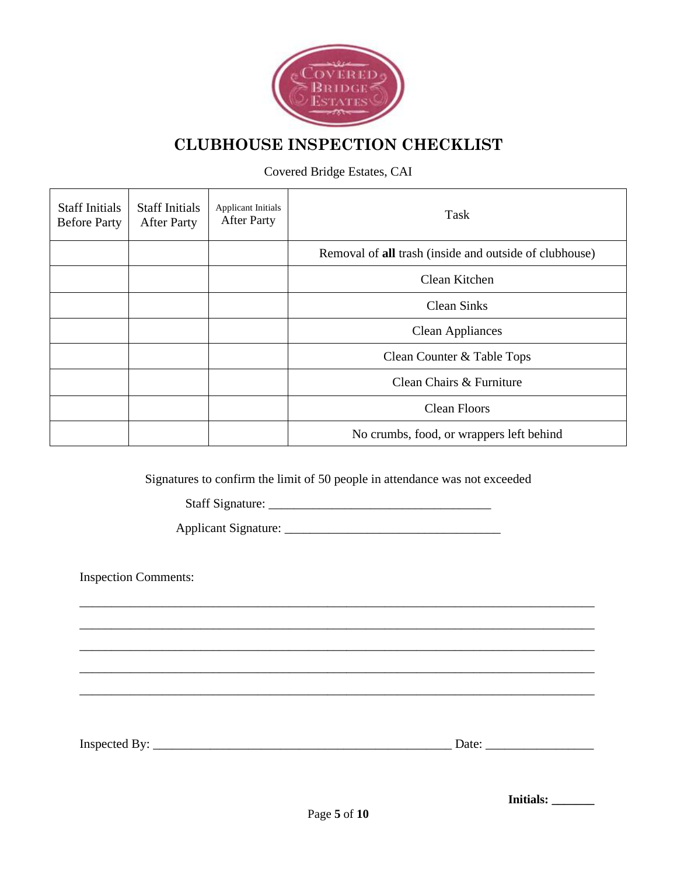

# **CLUBHOUSE INSPECTION CHECKLIST**

Covered Bridge Estates, CAI

| <b>Staff Initials</b><br><b>Before Party</b> | <b>Staff Initials</b><br><b>After Party</b> | <b>Applicant Initials</b><br><b>After Party</b> | Task                                                   |
|----------------------------------------------|---------------------------------------------|-------------------------------------------------|--------------------------------------------------------|
|                                              |                                             |                                                 | Removal of all trash (inside and outside of clubhouse) |
|                                              |                                             |                                                 | Clean Kitchen                                          |
|                                              |                                             |                                                 | <b>Clean Sinks</b>                                     |
|                                              |                                             |                                                 | <b>Clean Appliances</b>                                |
|                                              |                                             |                                                 | Clean Counter & Table Tops                             |
|                                              |                                             |                                                 | Clean Chairs & Furniture                               |
|                                              |                                             |                                                 | <b>Clean Floors</b>                                    |
|                                              |                                             |                                                 | No crumbs, food, or wrappers left behind               |

Signatures to confirm the limit of 50 people in attendance was not exceeded

\_\_\_\_\_\_\_\_\_\_\_\_\_\_\_\_\_\_\_\_\_\_\_\_\_\_\_\_\_\_\_\_\_\_\_\_\_\_\_\_\_\_\_\_\_\_\_\_\_\_\_\_\_\_\_\_\_\_\_\_\_\_\_\_\_\_\_\_\_\_\_\_\_\_\_\_\_\_\_\_\_ \_\_\_\_\_\_\_\_\_\_\_\_\_\_\_\_\_\_\_\_\_\_\_\_\_\_\_\_\_\_\_\_\_\_\_\_\_\_\_\_\_\_\_\_\_\_\_\_\_\_\_\_\_\_\_\_\_\_\_\_\_\_\_\_\_\_\_\_\_\_\_\_\_\_\_\_\_\_\_\_\_ \_\_\_\_\_\_\_\_\_\_\_\_\_\_\_\_\_\_\_\_\_\_\_\_\_\_\_\_\_\_\_\_\_\_\_\_\_\_\_\_\_\_\_\_\_\_\_\_\_\_\_\_\_\_\_\_\_\_\_\_\_\_\_\_\_\_\_\_\_\_\_\_\_\_\_\_\_\_\_\_\_ \_\_\_\_\_\_\_\_\_\_\_\_\_\_\_\_\_\_\_\_\_\_\_\_\_\_\_\_\_\_\_\_\_\_\_\_\_\_\_\_\_\_\_\_\_\_\_\_\_\_\_\_\_\_\_\_\_\_\_\_\_\_\_\_\_\_\_\_\_\_\_\_\_\_\_\_\_\_\_\_\_ \_\_\_\_\_\_\_\_\_\_\_\_\_\_\_\_\_\_\_\_\_\_\_\_\_\_\_\_\_\_\_\_\_\_\_\_\_\_\_\_\_\_\_\_\_\_\_\_\_\_\_\_\_\_\_\_\_\_\_\_\_\_\_\_\_\_\_\_\_\_\_\_\_\_\_\_\_\_\_\_\_

Staff Signature: \_\_\_\_\_\_\_\_\_\_\_\_\_\_\_\_\_\_\_\_\_\_\_\_\_\_\_\_\_\_\_\_\_\_\_

Applicant Signature: \_\_\_\_\_\_\_\_\_\_\_\_\_\_\_\_\_\_\_\_\_\_\_\_\_\_\_\_\_\_\_\_\_\_

Inspection Comments:

Inspected By: \_\_\_\_\_\_\_\_\_\_\_\_\_\_\_\_\_\_\_\_\_\_\_\_\_\_\_\_\_\_\_\_\_\_\_\_\_\_\_\_\_\_\_\_\_\_\_ Date: \_\_\_\_\_\_\_\_\_\_\_\_\_\_\_\_\_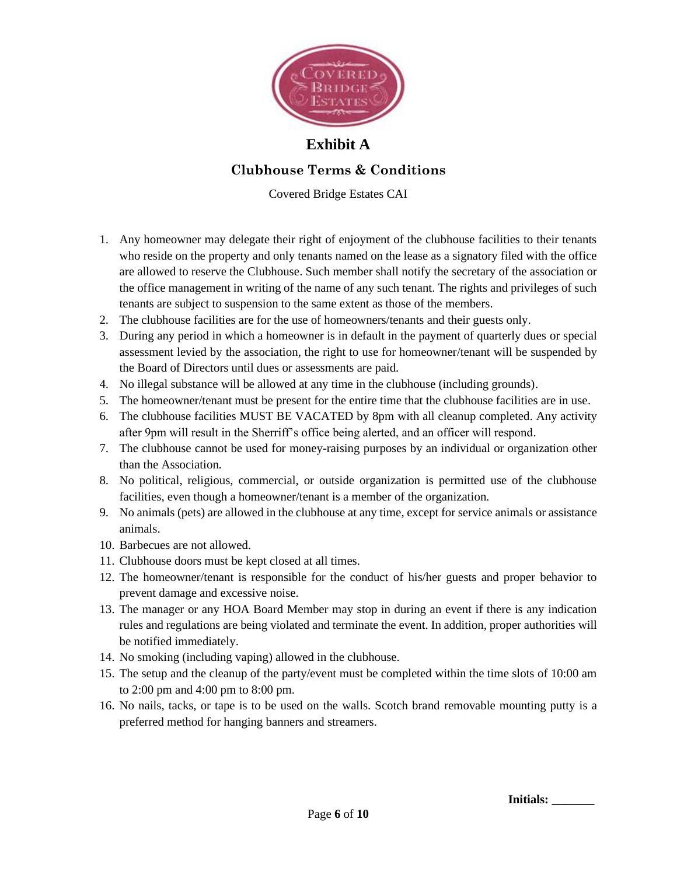

### **Exhibit A**

#### **Clubhouse Terms & Conditions**

Covered Bridge Estates CAI

- 1. Any homeowner may delegate their right of enjoyment of the clubhouse facilities to their tenants who reside on the property and only tenants named on the lease as a signatory filed with the office are allowed to reserve the Clubhouse. Such member shall notify the secretary of the association or the office management in writing of the name of any such tenant. The rights and privileges of such tenants are subject to suspension to the same extent as those of the members.
- 2. The clubhouse facilities are for the use of homeowners/tenants and their guests only.
- 3. During any period in which a homeowner is in default in the payment of quarterly dues or special assessment levied by the association, the right to use for homeowner/tenant will be suspended by the Board of Directors until dues or assessments are paid.
- 4. No illegal substance will be allowed at any time in the clubhouse (including grounds).
- 5. The homeowner/tenant must be present for the entire time that the clubhouse facilities are in use.
- 6. The clubhouse facilities MUST BE VACATED by 8pm with all cleanup completed. Any activity after 9pm will result in the Sherriff's office being alerted, and an officer will respond.
- 7. The clubhouse cannot be used for money-raising purposes by an individual or organization other than the Association.
- 8. No political, religious, commercial, or outside organization is permitted use of the clubhouse facilities, even though a homeowner/tenant is a member of the organization.
- 9. No animals (pets) are allowed in the clubhouse at any time, except for service animals or assistance animals.
- 10. Barbecues are not allowed.
- 11. Clubhouse doors must be kept closed at all times.
- 12. The homeowner/tenant is responsible for the conduct of his/her guests and proper behavior to prevent damage and excessive noise.
- 13. The manager or any HOA Board Member may stop in during an event if there is any indication rules and regulations are being violated and terminate the event. In addition, proper authorities will be notified immediately.
- 14. No smoking (including vaping) allowed in the clubhouse.
- 15. The setup and the cleanup of the party/event must be completed within the time slots of 10:00 am to 2:00 pm and 4:00 pm to 8:00 pm.
- 16. No nails, tacks, or tape is to be used on the walls. Scotch brand removable mounting putty is a preferred method for hanging banners and streamers.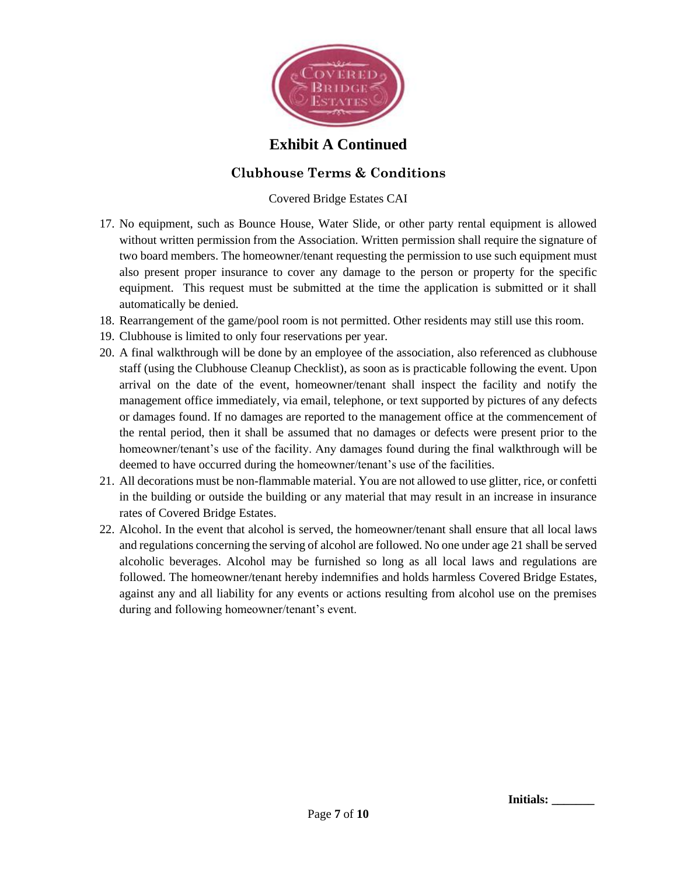

### **Exhibit A Continued**

#### **Clubhouse Terms & Conditions**

Covered Bridge Estates CAI

- 17. No equipment, such as Bounce House, Water Slide, or other party rental equipment is allowed without written permission from the Association. Written permission shall require the signature of two board members. The homeowner/tenant requesting the permission to use such equipment must also present proper insurance to cover any damage to the person or property for the specific equipment. This request must be submitted at the time the application is submitted or it shall automatically be denied.
- 18. Rearrangement of the game/pool room is not permitted. Other residents may still use this room.
- 19. Clubhouse is limited to only four reservations per year.
- 20. A final walkthrough will be done by an employee of the association, also referenced as clubhouse staff (using the Clubhouse Cleanup Checklist), as soon as is practicable following the event. Upon arrival on the date of the event, homeowner/tenant shall inspect the facility and notify the management office immediately, via email, telephone, or text supported by pictures of any defects or damages found. If no damages are reported to the management office at the commencement of the rental period, then it shall be assumed that no damages or defects were present prior to the homeowner/tenant's use of the facility. Any damages found during the final walkthrough will be deemed to have occurred during the homeowner/tenant's use of the facilities.
- 21. All decorations must be non-flammable material. You are not allowed to use glitter, rice, or confetti in the building or outside the building or any material that may result in an increase in insurance rates of Covered Bridge Estates.
- 22. Alcohol. In the event that alcohol is served, the homeowner/tenant shall ensure that all local laws and regulations concerning the serving of alcohol are followed. No one under age 21 shall be served alcoholic beverages. Alcohol may be furnished so long as all local laws and regulations are followed. The homeowner/tenant hereby indemnifies and holds harmless Covered Bridge Estates, against any and all liability for any events or actions resulting from alcohol use on the premises during and following homeowner/tenant's event.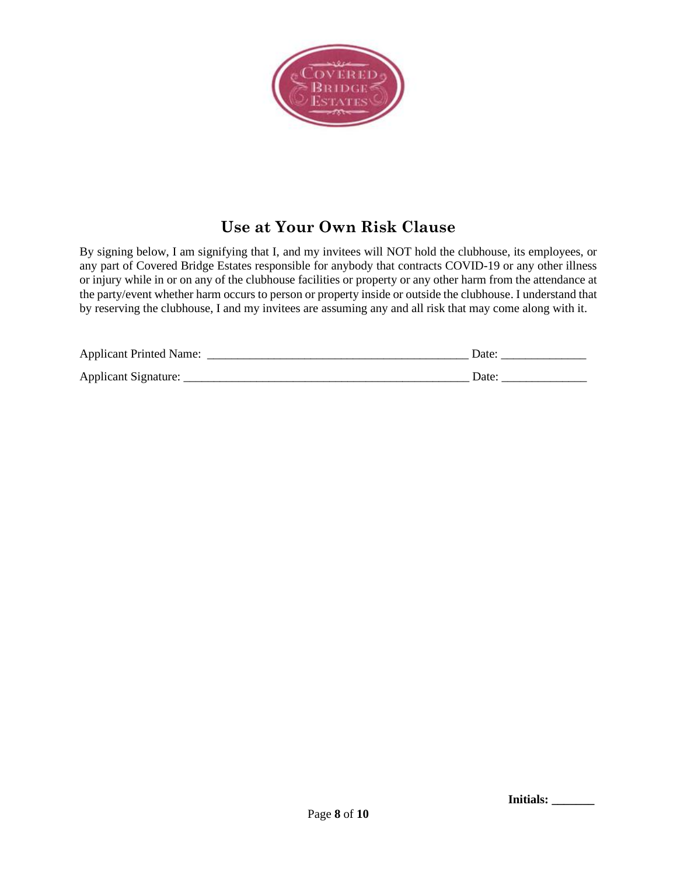

# **Use at Your Own Risk Clause**

By signing below, I am signifying that I, and my invitees will NOT hold the clubhouse, its employees, or any part of Covered Bridge Estates responsible for anybody that contracts COVID-19 or any other illness or injury while in or on any of the clubhouse facilities or property or any other harm from the attendance at the party/event whether harm occurs to person or property inside or outside the clubhouse. I understand that by reserving the clubhouse, I and my invitees are assuming any and all risk that may come along with it.

| <b>Applicant Printed Name:</b> | Date |
|--------------------------------|------|
| Applicant Signature:           | Date |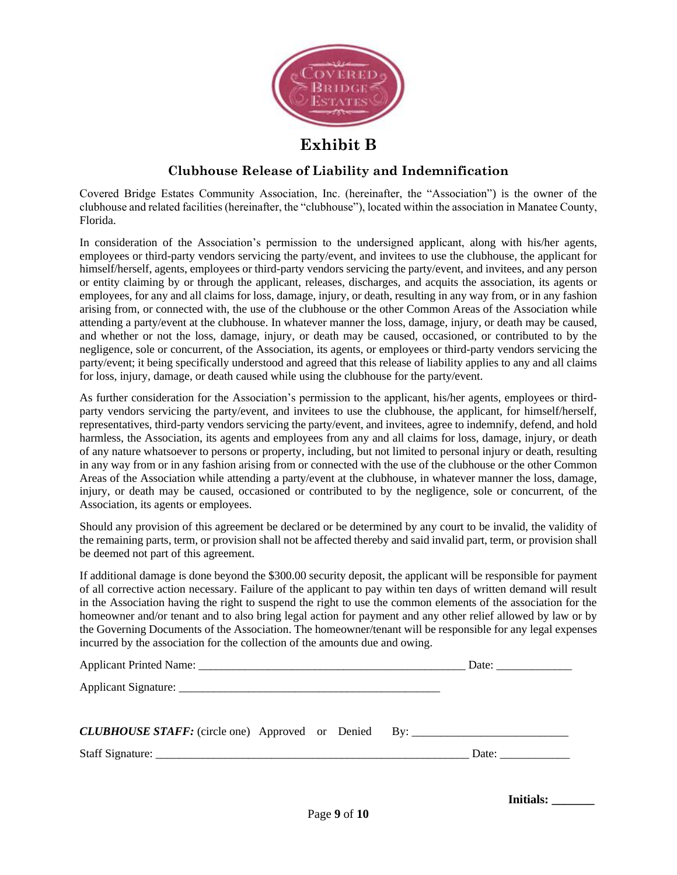

### **Exhibit B**

#### **Clubhouse Release of Liability and Indemnification**

Covered Bridge Estates Community Association, Inc. (hereinafter, the "Association") is the owner of the clubhouse and related facilities (hereinafter, the "clubhouse"), located within the association in Manatee County, Florida.

In consideration of the Association's permission to the undersigned applicant, along with his/her agents, employees or third-party vendors servicing the party/event, and invitees to use the clubhouse, the applicant for himself/herself, agents, employees or third-party vendors servicing the party/event, and invitees, and any person or entity claiming by or through the applicant, releases, discharges, and acquits the association, its agents or employees, for any and all claims for loss, damage, injury, or death, resulting in any way from, or in any fashion arising from, or connected with, the use of the clubhouse or the other Common Areas of the Association while attending a party/event at the clubhouse. In whatever manner the loss, damage, injury, or death may be caused, and whether or not the loss, damage, injury, or death may be caused, occasioned, or contributed to by the negligence, sole or concurrent, of the Association, its agents, or employees or third-party vendors servicing the party/event; it being specifically understood and agreed that this release of liability applies to any and all claims for loss, injury, damage, or death caused while using the clubhouse for the party/event.

As further consideration for the Association's permission to the applicant, his/her agents, employees or thirdparty vendors servicing the party/event, and invitees to use the clubhouse, the applicant, for himself/herself, representatives, third-party vendors servicing the party/event, and invitees, agree to indemnify, defend, and hold harmless, the Association, its agents and employees from any and all claims for loss, damage, injury, or death of any nature whatsoever to persons or property, including, but not limited to personal injury or death, resulting in any way from or in any fashion arising from or connected with the use of the clubhouse or the other Common Areas of the Association while attending a party/event at the clubhouse, in whatever manner the loss, damage, injury, or death may be caused, occasioned or contributed to by the negligence, sole or concurrent, of the Association, its agents or employees.

Should any provision of this agreement be declared or be determined by any court to be invalid, the validity of the remaining parts, term, or provision shall not be affected thereby and said invalid part, term, or provision shall be deemed not part of this agreement.

If additional damage is done beyond the \$300.00 security deposit, the applicant will be responsible for payment of all corrective action necessary. Failure of the applicant to pay within ten days of written demand will result in the Association having the right to suspend the right to use the common elements of the association for the homeowner and/or tenant and to also bring legal action for payment and any other relief allowed by law or by the Governing Documents of the Association. The homeowner/tenant will be responsible for any legal expenses incurred by the association for the collection of the amounts due and owing.

| <b>CLUBHOUSE STAFF:</b> (circle one) Approved or Denied By: ___________________________ |       |
|-----------------------------------------------------------------------------------------|-------|
|                                                                                         | Date: |

**Initials: \_\_\_\_\_\_\_**